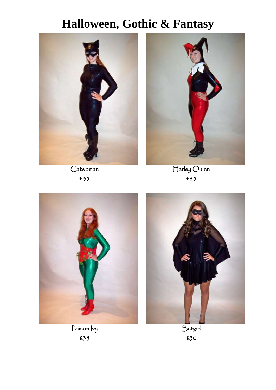

Catwoman £35



Harley Quinn £35





Poison *vy* £35

Batgirl £30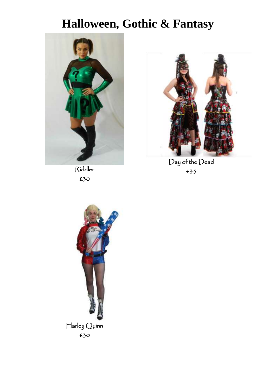

Riddler £30



Day of the Dead £35

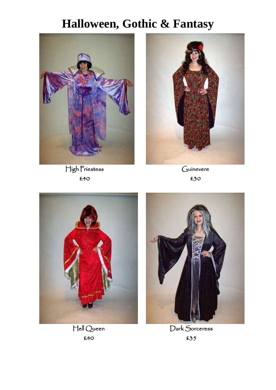

High Priestess £40



**Guinevere** £30



Hell Queen £40



Dark Sorceress £35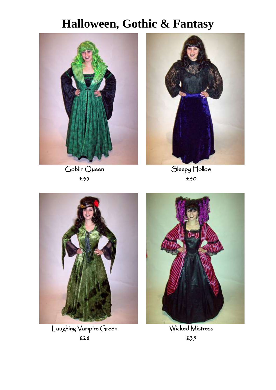$\overline{\phantom{a}}$ 



Goblin Queen £35



Sleepy Hollow £30



Laughing Vampire Green £28



Wicked Mistress £35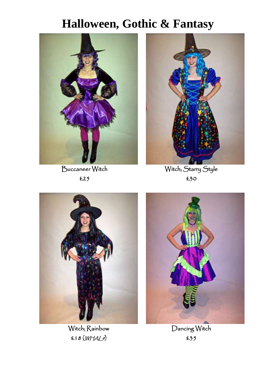

Buccaneer Witch £25



Witch; Starry Style £30



Witch; Rainbow £18 (WHAL9)



Dancing Witch £35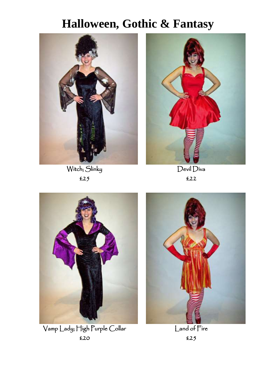

Witch; Slinky £25



Devil Diva £22



Vamp Lady; High Purple Collar £20



Land of Fire £25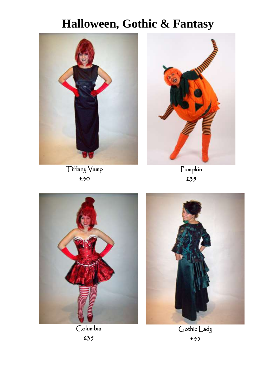

Tiffany Vamp £30



Pumpkin £35



Columbia £35



Gothic Lady £35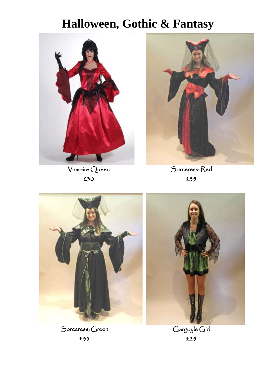

Vampire Queen £30



Sorceress; Red £35



Sorceress; Green £35



Gargoyle Girl £25

 $\overline{\phantom{a}}$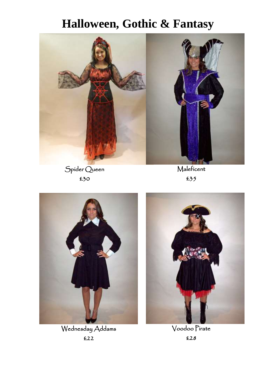

Spider Queen £30

**Maleficent** £35



Wednesday Addams £22



Voodoo Pirate £28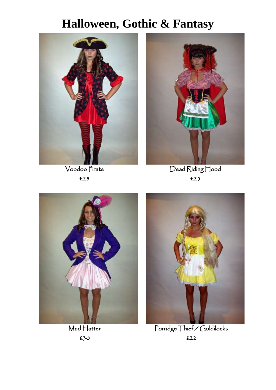

Voodoo Pirate £28



Dead Riding Hood £25



Mad Hatter £30



Porridge Thief / Goldilocks £22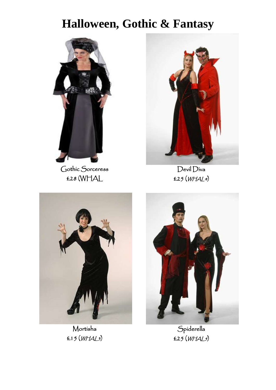

Gothic Sorceress £28 (WHAL



Devil Diva £25 (WHAL4)



Mortisha  $£15(WHAL3)$ 



Spiderella £25 (WHAL5)

I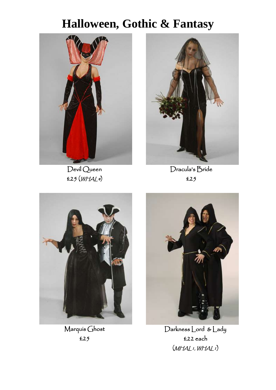

Devil Queen £25 (WHAL4)



Dracula's Bride £25



Marquis Ghost £25



Darkness Lord & Lady £22 each  $(MHALI, WHALI)$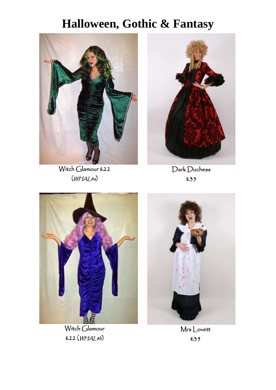

Witch Glamour £22  $(WHAL8a)$ 



Dark Duchess £35



Witch Glamour £22 (WHAL8b)



Mrs Lovett £35

 $\overline{\phantom{a}}$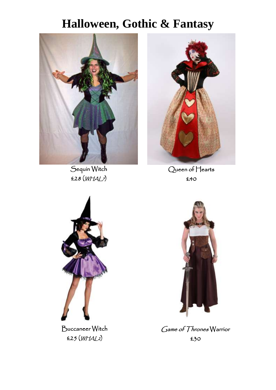

Sequin Witch £28 (WHAL7)



Queen of Hearts £40



Buccaneer Witch £25 (WHAL2)



Game of Thrones Warrior £30